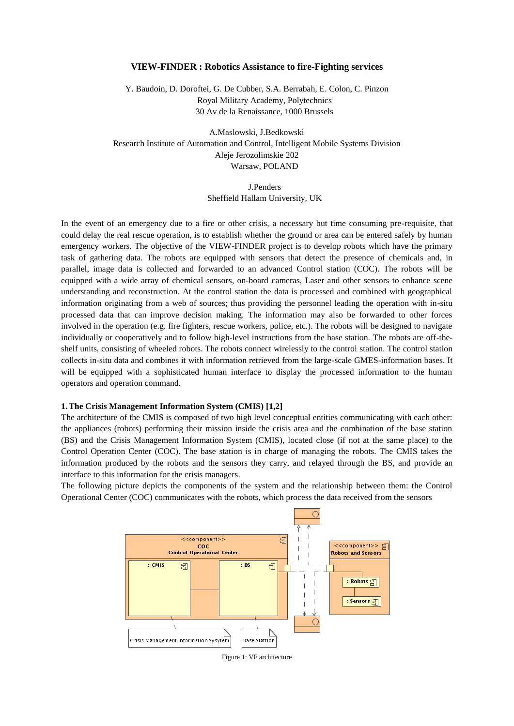### **VIEW-FINDER : Robotics Assistance to fire-Fighting services**

Y. Baudoin, D. Doroftei, G. De Cubber, S.A. Berrabah, E. Colon, C. Pinzon Royal Military Academy, Polytechnics 30 Av de la Renaissance, 1000 Brussels

A.Maslowski, J.Bedkowski Research Institute of Automation and Control, Intelligent Mobile Systems Division Aleje Jerozolimskie 202 Warsaw, POLAND

> J.Penders Sheffield Hallam University, UK

In the event of an emergency due to a fire or other crisis, a necessary but time consuming pre-requisite, that could delay the real rescue operation, is to establish whether the ground or area can be entered safely by human emergency workers. The objective of the VIEW-FINDER project is to develop robots which have the primary task of gathering data. The robots are equipped with sensors that detect the presence of chemicals and, in parallel, image data is collected and forwarded to an advanced Control station (COC). The robots will be equipped with a wide array of chemical sensors, on-board cameras, Laser and other sensors to enhance scene understanding and reconstruction. At the control station the data is processed and combined with geographical information originating from a web of sources; thus providing the personnel leading the operation with in-situ processed data that can improve decision making. The information may also be forwarded to other forces involved in the operation (e.g. fire fighters, rescue workers, police, etc.). The robots will be designed to navigate individually or cooperatively and to follow high-level instructions from the base station. The robots are off-theshelf units, consisting of wheeled robots. The robots connect wirelessly to the control station. The control station collects in-situ data and combines it with information retrieved from the large-scale GMES-information bases. It will be equipped with a sophisticated human interface to display the processed information to the human operators and operation command.

#### **1.The Crisis Management Information System (CMIS) [1,2]**

The architecture of the CMIS is composed of two high level conceptual entities communicating with each other: the appliances (robots) performing their mission inside the crisis area and the combination of the base station (BS) and the Crisis Management Information System (CMIS), located close (if not at the same place) to the Control Operation Center (COC). The base station is in charge of managing the robots. The CMIS takes the information produced by the robots and the sensors they carry, and relayed through the BS, and provide an interface to this information for the crisis managers.

The following picture depicts the components of the system and the relationship between them: the Control Operational Center (COC) communicates with the robots, which process the data received from the sensors



Figure 1: VF architecture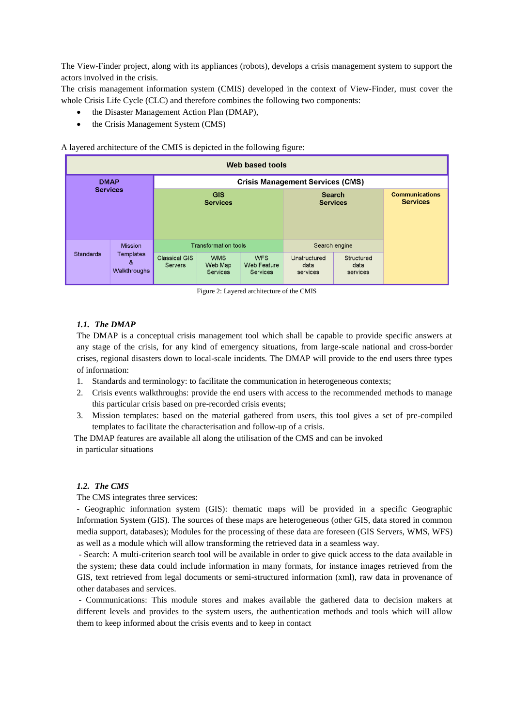The View-Finder project, along with its appliances (robots), develops a crisis management system to support the actors involved in the crisis.

The crisis management information system (CMIS) developed in the context of View-Finder, must cover the whole Crisis Life Cycle (CLC) and therefore combines the following two components:

- the Disaster Management Action Plan (DMAP),
- the Crisis Management System (CMS)

A layered architecture of the CMIS is depicted in the following figure:



Figure 2: Layered architecture of the CMIS

# *1.1. The DMAP*

The DMAP is a conceptual crisis management tool which shall be capable to provide specific answers at any stage of the crisis, for any kind of emergency situations, from large-scale national and cross-border crises, regional disasters down to local-scale incidents. The DMAP will provide to the end users three types of information:

- 1. Standards and terminology: to facilitate the communication in heterogeneous contexts;
- 2. Crisis events walkthroughs: provide the end users with access to the recommended methods to manage this particular crisis based on pre-recorded crisis events;
- 3. Mission templates: based on the material gathered from users, this tool gives a set of pre-compiled templates to facilitate the characterisation and follow-up of a crisis.

 The DMAP features are available all along the utilisation of the CMS and can be invoked in particular situations

## *1.2. The CMS*

The CMS integrates three services:

- Geographic information system (GIS): thematic maps will be provided in a specific Geographic Information System (GIS). The sources of these maps are heterogeneous (other GIS, data stored in common media support, databases); Modules for the processing of these data are foreseen (GIS Servers, WMS, WFS) as well as a module which will allow transforming the retrieved data in a seamless way.

- Search: A multi-criterion search tool will be available in order to give quick access to the data available in the system; these data could include information in many formats, for instance images retrieved from the GIS, text retrieved from legal documents or semi-structured information (xml), raw data in provenance of other databases and services.

- Communications: This module stores and makes available the gathered data to decision makers at different levels and provides to the system users, the authentication methods and tools which will allow them to keep informed about the crisis events and to keep in contact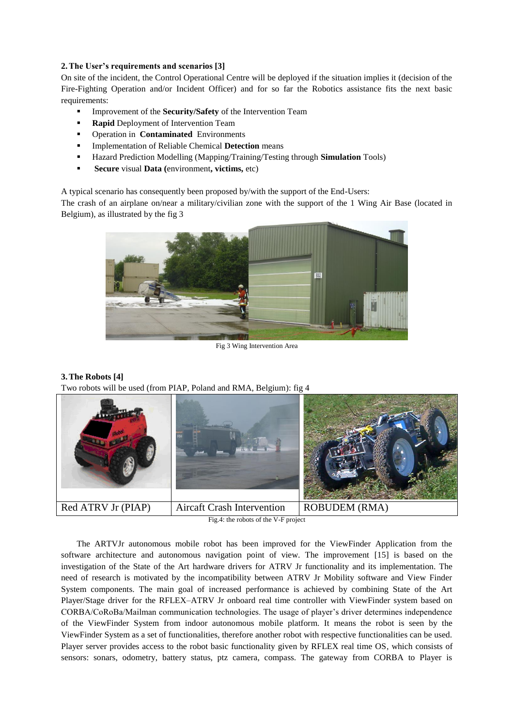## **2.The User's requirements and scenarios [3]**

On site of the incident, the Control Operational Centre will be deployed if the situation implies it (decision of the Fire-Fighting Operation and/or Incident Officer) and for so far the Robotics assistance fits the next basic requirements:

- Improvement of the **Security/Safety** of the Intervention Team
- **Rapid** Deployment of Intervention Team
- Operation in **Contaminated** Environments
- Implementation of Reliable Chemical **Detection** means
- Hazard Prediction Modelling (Mapping/Training/Testing through **Simulation** Tools)
- **Secure** visual **Data (**environment**, victims,** etc)

A typical scenario has consequently been proposed by/with the support of the End-Users:

The crash of an airplane on/near a military/civilian zone with the support of the 1 Wing Air Base (located in Belgium), as illustrated by the fig 3



Fig 3 Wing Intervention Area

## **3.The Robots [4]**

Two robots will be used (from PIAP, Poland and RMA, Belgium): fig 4



Fig.4: the robots of the V-F project

The ARTVJr autonomous mobile robot has been improved for the ViewFinder Application from the software architecture and autonomous navigation point of view. The improvement [15] is based on the investigation of the State of the Art hardware drivers for ATRV Jr functionality and its implementation. The need of research is motivated by the incompatibility between ATRV Jr Mobility software and View Finder System components. The main goal of increased performance is achieved by combining State of the Art Player/Stage driver for the RFLEX–ATRV Jr onboard real time controller with ViewFinder system based on CORBA/CoRoBa/Mailman communication technologies. The usage of player's driver determines independence of the ViewFinder System from indoor autonomous mobile platform. It means the robot is seen by the ViewFinder System as a set of functionalities, therefore another robot with respective functionalities can be used. Player server provides access to the robot basic functionality given by RFLEX real time OS, which consists of sensors: sonars, odometry, battery status, ptz camera, compass. The gateway from CORBA to Player is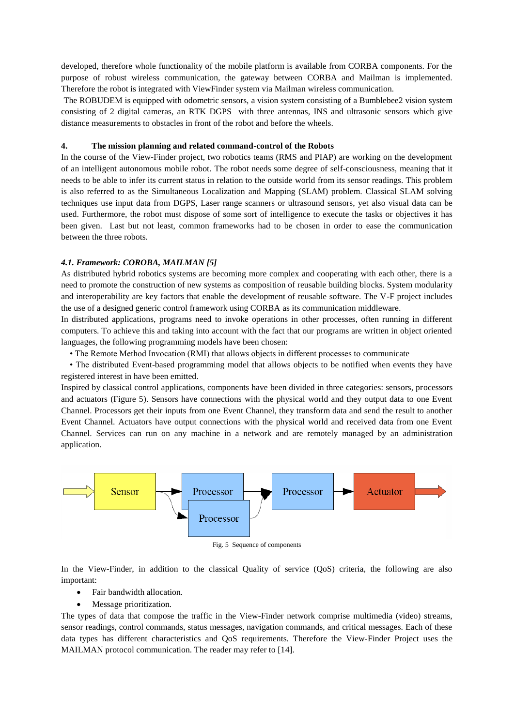developed, therefore whole functionality of the mobile platform is available from CORBA components. For the purpose of robust wireless communication, the gateway between CORBA and Mailman is implemented. Therefore the robot is integrated with ViewFinder system via Mailman wireless communication.

The ROBUDEM is equipped with odometric sensors, a vision system consisting of a Bumblebee2 vision system consisting of 2 digital cameras, an RTK DGPS with three antennas, INS and ultrasonic sensors which give distance measurements to obstacles in front of the robot and before the wheels.

## **4. The mission planning and related command-control of the Robots**

In the course of the View-Finder project, two robotics teams (RMS and PIAP) are working on the development of an intelligent autonomous mobile robot. The robot needs some degree of self-consciousness, meaning that it needs to be able to infer its current status in relation to the outside world from its sensor readings. This problem is also referred to as the Simultaneous Localization and Mapping (SLAM) problem. Classical SLAM solving techniques use input data from DGPS, Laser range scanners or ultrasound sensors, yet also visual data can be used. Furthermore, the robot must dispose of some sort of intelligence to execute the tasks or objectives it has been given. Last but not least, common frameworks had to be chosen in order to ease the communication between the three robots.

### *4.1. Framework: COROBA, MAILMAN [5]*

As distributed hybrid robotics systems are becoming more complex and cooperating with each other, there is a need to promote the construction of new systems as composition of reusable building blocks. System modularity and interoperability are key factors that enable the development of reusable software. The V-F project includes the use of a designed generic control framework using CORBA as its communication middleware.

In distributed applications, programs need to invoke operations in other processes, often running in different computers. To achieve this and taking into account with the fact that our programs are written in object oriented languages, the following programming models have been chosen:

- The Remote Method Invocation (RMI) that allows objects in different processes to communicate
- The distributed Event-based programming model that allows objects to be notified when events they have registered interest in have been emitted.

Inspired by classical control applications, components have been divided in three categories: sensors, processors and actuators (Figure 5). Sensors have connections with the physical world and they output data to one Event Channel. Processors get their inputs from one Event Channel, they transform data and send the result to another Event Channel. Actuators have output connections with the physical world and received data from one Event Channel. Services can run on any machine in a network and are remotely managed by an administration application.





In the View-Finder, in addition to the classical Quality of service (QoS) criteria, the following are also important:

- Fair bandwidth allocation.
- Message prioritization.

The types of data that compose the traffic in the View-Finder network comprise multimedia (video) streams, sensor readings, control commands, status messages, navigation commands, and critical messages. Each of these data types has different characteristics and QoS requirements. Therefore the View-Finder Project uses the MAILMAN protocol communication. The reader may refer to [14].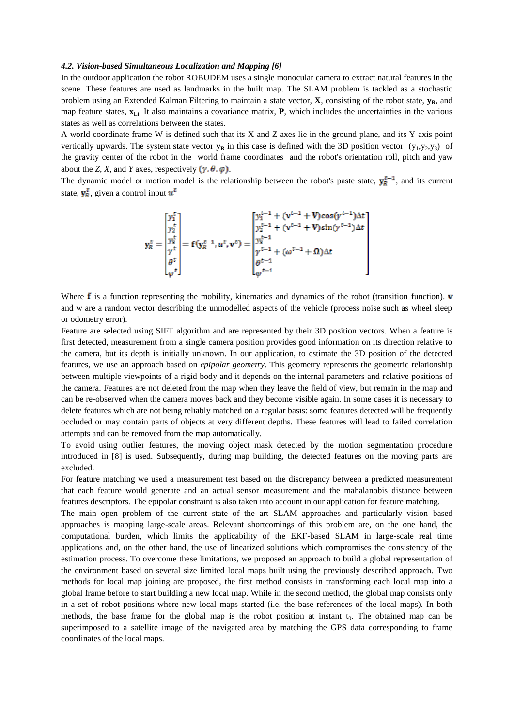#### *4.2. Vision-based Simultaneous Localization and Mapping [6]*

In the outdoor application the robot ROBUDEM uses a single monocular camera to extract natural features in the scene. These features are used as landmarks in the built map. The SLAM problem is tackled as a stochastic problem using an Extended Kalman Filtering to maintain a state vector,  $\bf{X}$ , consisting of the robot state,  $\bf{y}_R$ , and map feature states,  $\mathbf{x}_{\text{L}i}$ . It also maintains a covariance matrix, **P**, which includes the uncertainties in the various states as well as correlations between the states.

A world coordinate frame W is defined such that its X and Z axes lie in the ground plane, and its Y axis point vertically upwards. The system state vector  $y_R$  in this case is defined with the 3D position vector  $(y_1, y_2, y_3)$  of the gravity center of the robot in the world frame coordinates and the robot's orientation roll, pitch and yaw about the *Z*, *X*, and *Y* axes, respectively  $(y, \theta, \varphi)$ .

The dynamic model or motion model is the relationship between the robot's paste state,  $y_R^{t-1}$ , and its current state,  $y_R^t$ , given a control input  $u^t$ 

$$
\mathbf{y}_{R}^{t} = \begin{bmatrix} y_{1}^{t} \\ y_{2}^{t} \\ y_{3}^{t} \\ \gamma_{4}^{t} \\ \theta_{5}^{t} \\ \phi_{6}^{t} \end{bmatrix} = \mathbf{f}(y_{R}^{t-1}, u^{t}, \mathbf{v}^{t}) = \begin{bmatrix} y_{1}^{t-1} + (\mathbf{v}^{t-1} + \mathbf{V})\cos(\gamma^{t-1})\Delta t \\ y_{2}^{t-1} + (\mathbf{v}^{t-1} + \mathbf{V})\sin(\gamma^{t-1})\Delta t \\ y_{3}^{t-1} \\ \gamma^{t-1} + (\omega^{t-1} + \Omega)\Delta t \\ \theta_{6}^{t-1} \end{bmatrix}
$$

Where **f** is a function representing the mobility, kinematics and dynamics of the robot (transition function).  $\bf{v}$ and w are a random vector describing the unmodelled aspects of the vehicle (process noise such as wheel sleep or odometry error).

Feature are selected using SIFT algorithm and are represented by their 3D position vectors. When a feature is first detected, measurement from a single camera position provides good information on its direction relative to the camera, but its depth is initially unknown. In our application, to estimate the 3D position of the detected features, we use an approach based on *epipolar geometry*. This geometry represents the geometric relationship between multiple viewpoints of a rigid body and it depends on the internal parameters and relative positions of the camera. Features are not deleted from the map when they leave the field of view, but remain in the map and can be re-observed when the camera moves back and they become visible again. In some cases it is necessary to delete features which are not being reliably matched on a regular basis: some features detected will be frequently occluded or may contain parts of objects at very different depths. These features will lead to failed correlation attempts and can be removed from the map automatically.

To avoid using outlier features, the moving object mask detected by the motion segmentation procedure introduced in [8] is used. Subsequently, during map building, the detected features on the moving parts are excluded.

For feature matching we used a measurement test based on the discrepancy between a predicted measurement that each feature would generate and an actual sensor measurement and the mahalanobis distance between features descriptors. The epipolar constraint is also taken into account in our application for feature matching.

The main open problem of the current state of the art SLAM approaches and particularly vision based approaches is mapping large-scale areas. Relevant shortcomings of this problem are, on the one hand, the computational burden, which limits the applicability of the EKF-based SLAM in large-scale real time applications and, on the other hand, the use of linearized solutions which compromises the consistency of the estimation process. To overcome these limitations, we proposed an approach to build a global representation of the environment based on several size limited local maps built using the previously described approach. Two methods for local map joining are proposed, the first method consists in transforming each local map into a global frame before to start building a new local map. While in the second method, the global map consists only in a set of robot positions where new local maps started (i.e. the base references of the local maps). In both methods, the base frame for the global map is the robot position at instant  $t_0$ . The obtained map can be superimposed to a satellite image of the navigated area by matching the GPS data corresponding to frame coordinates of the local maps.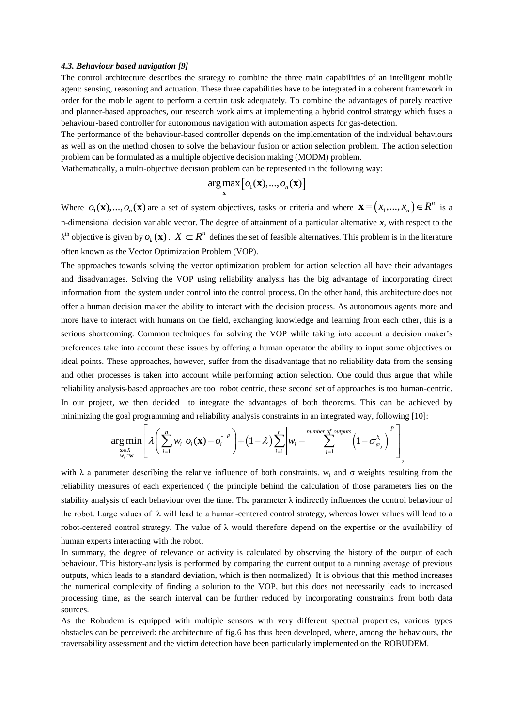#### *4.3. Behaviour based navigation [9]*

The control architecture describes the strategy to combine the three main capabilities of an intelligent mobile agent: sensing, reasoning and actuation. These three capabilities have to be integrated in a coherent framework in order for the mobile agent to perform a certain task adequately. To combine the advantages of purely reactive and planner-based approaches, our research work aims at implementing a hybrid control strategy which fuses a behaviour-based controller for autonomous navigation with automation aspects for gas-detection.

The performance of the behaviour-based controller depends on the implementation of the individual behaviours as well as on the method chosen to solve the behaviour fusion or action selection problem. The action selection problem can be formulated as a multiple objective decision making (MODM) problem.

Mathematically, a multi-objective decision problem can be represented in the following way:

$$
\arg \max_{\mathbf{x}} [o_1(\mathbf{x}),...,o_n(\mathbf{x})]
$$

Where  $o_1(\mathbf{x}),...,o_n(\mathbf{x})$  are a set of system objectives, tasks or criteria and where  $\mathbf{x} = (x_1,...,x_n) \in \mathbb{R}^n$  $\mathbf{x} = (x_1, ..., x_n) \in R^n$  is a n-dimensional decision variable vector. The degree of attainment of a particular alternative *x*, with respect to the  $k^{\text{th}}$  objective is given by  $o_k(\mathbf{x})$ .  $X \subseteq R^n$  defines the set of feasible alternatives. This problem is in the literature often known as the Vector Optimization Problem (VOP).

The approaches towards solving the vector optimization problem for action selection all have their advantages and disadvantages. Solving the VOP using reliability analysis has the big advantage of incorporating direct information from the system under control into the control process. On the other hand, this architecture does not offer a human decision maker the ability to interact with the decision process. As autonomous agents more and more have to interact with humans on the field, exchanging knowledge and learning from each other, this is a serious shortcoming. Common techniques for solving the VOP while taking into account a decision maker's preferences take into account these issues by offering a human operator the ability to input some objectives or ideal points. These approaches, however, suffer from the disadvantage that no reliability data from the sensing and other processes is taken into account while performing action selection. One could thus argue that while reliability analysis-based approaches are too robot centric, these second set of approaches is too human-centric. reliability analysis-based approaches are too robot centric, these second set of approaches is too human-centric.<br>In our project, we then decided to integrate the advantages of both theorems. This can be achieved by minim minimizing the goal programming and reliability analysis constraints in an integrated way, following [10]:

e goal programming and reliability analysis constraints in an integrated way, following [1  
arg min
$$
\left[\lambda \left(\sum_{i=1}^n w_i \left| o_i(\mathbf{x}) - o_i^* \right|^p \right) + (1-\lambda) \sum_{i=1}^n \left| w_i - \sum_{j=1}^{number of outputs} \left(1 - \sigma_{\varpi_j}^{b_j} \right) \right|^p \right]
$$

with  $\lambda$  a parameter describing the relative influence of both constraints. w<sub>i</sub> and  $\sigma$  weights resulting from the reliability measures of each experienced ( the principle behind the calculation of those parameters lies on the stability analysis of each behaviour over the time. The parameter  $\lambda$  indirectly influences the control behaviour of the robot. Large values of λ will lead to a human-centered control strategy, whereas lower values will lead to a robot-centered control strategy. The value of  $\lambda$  would therefore depend on the expertise or the availability of human experts interacting with the robot.

In summary, the degree of relevance or activity is calculated by observing the history of the output of each behaviour. This history-analysis is performed by comparing the current output to a running average of previous outputs, which leads to a standard deviation, which is then normalized). It is obvious that this method increases the numerical complexity of finding a solution to the VOP, but this does not necessarily leads to increased processing time, as the search interval can be further reduced by incorporating constraints from both data sources.

As the Robudem is equipped with multiple sensors with very different spectral properties, various types obstacles can be perceived: the architecture of fig.6 has thus been developed, where, among the behaviours, the traversability assessment and the victim detection have been particularly implemented on the ROBUDEM.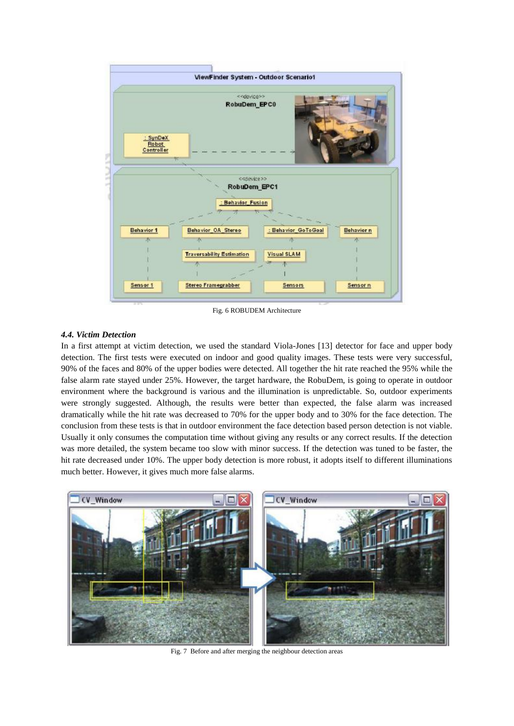

Fig. 6 ROBUDEM Architecture

## *4.4. Victim Detection*

In a first attempt at victim detection, we used the standard Viola-Jones [13] detector for face and upper body detection. The first tests were executed on indoor and good quality images. These tests were very successful, 90% of the faces and 80% of the upper bodies were detected. All together the hit rate reached the 95% while the false alarm rate stayed under 25%. However, the target hardware, the RobuDem, is going to operate in outdoor environment where the background is various and the illumination is unpredictable. So, outdoor experiments were strongly suggested. Although, the results were better than expected, the false alarm was increased dramatically while the hit rate was decreased to 70% for the upper body and to 30% for the face detection. The conclusion from these tests is that in outdoor environment the face detection based person detection is not viable. Usually it only consumes the computation time without giving any results or any correct results. If the detection was more detailed, the system became too slow with minor success. If the detection was tuned to be faster, the hit rate decreased under 10%. The upper body detection is more robust, it adopts itself to different illuminations much better. However, it gives much more false alarms.



Fig. 7 Before and after merging the neighbour detection areas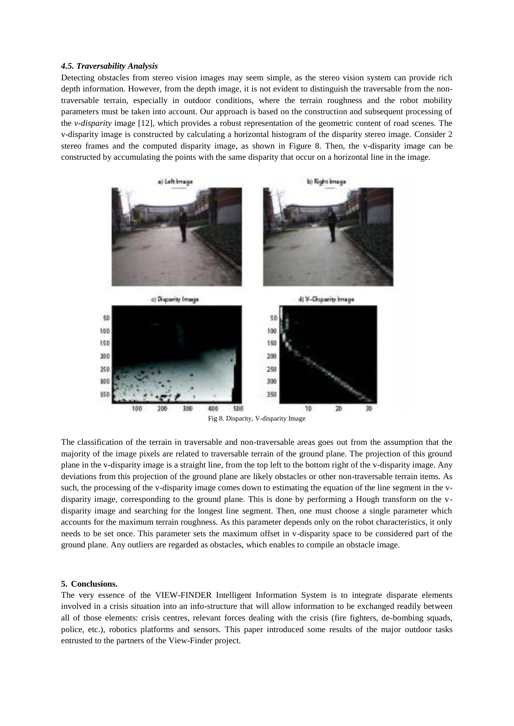#### *4.5. Traversability Analysis*

Detecting obstacles from stereo vision images may seem simple, as the stereo vision system can provide rich depth information. However, from the depth image, it is not evident to distinguish the traversable from the nontraversable terrain, especially in outdoor conditions, where the terrain roughness and the robot mobility parameters must be taken into account. Our approach is based on the construction and subsequent processing of the *v-disparity* image [12], which provides a robust representation of the geometric content of road scenes. The v-disparity image is constructed by calculating a horizontal histogram of the disparity stereo image. Consider 2 stereo frames and the computed disparity image, as shown in Figure 8. Then, the v-disparity image can be constructed by accumulating the points with the same disparity that occur on a horizontal line in the image.



The classification of the terrain in traversable and non-traversable areas goes out from the assumption that the majority of the image pixels are related to traversable terrain of the ground plane. The projection of this ground plane in the v-disparity image is a straight line, from the top left to the bottom right of the v-disparity image. Any deviations from this projection of the ground plane are likely obstacles or other non-traversable terrain items. As such, the processing of the v-disparity image comes down to estimating the equation of the line segment in the vdisparity image, corresponding to the ground plane. This is done by performing a Hough transform on the vdisparity image and searching for the longest line segment. Then, one must choose a single parameter which accounts for the maximum terrain roughness. As this parameter depends only on the robot characteristics, it only needs to be set once. This parameter sets the maximum offset in v-disparity space to be considered part of the ground plane. Any outliers are regarded as obstacles, which enables to compile an obstacle image.

### **5. Conclusions.**

The very essence of the VIEW-FINDER Intelligent Information System is to integrate disparate elements involved in a crisis situation into an info-structure that will allow information to be exchanged readily between all of those elements: crisis centres, relevant forces dealing with the crisis (fire fighters, de-bombing squads, police, etc.), robotics platforms and sensors. This paper introduced some results of the major outdoor tasks entrusted to the partners of the View-Finder project.